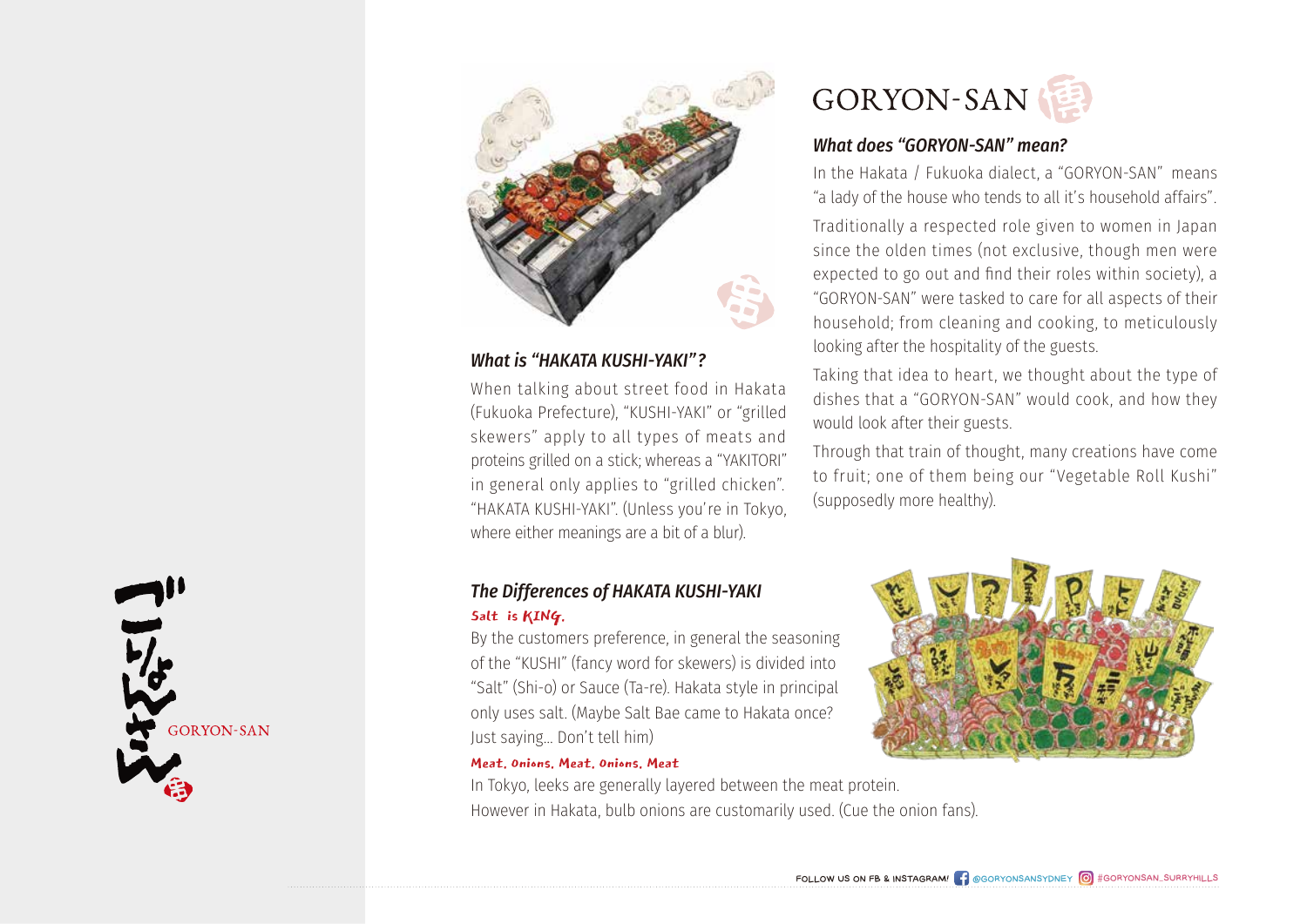

### *What is "HAKATA KUSHI-YAKI"?*

When talking about street food in Hakata (Fukuoka Prefecture), "KUSHI-YAKI" or "grilled skewers" apply to all types of meats and proteins grilled on a stick; whereas a "YAKITORI" in general only applies to "grilled chicken". "HAKATA KUSHI-YAKI". (Unless you're in Tokyo, where either meanings are a bit of a blur).

# *The Differences of HAKATA KUSHI-YAKI*

#### Salt is KING.

By the customers preference, in general the seasoning of the "KUSHI" (fancy word for skewers) is divided into "Salt" (Shi-o) or Sauce (Ta-re). Hakata style in principal only uses salt. (Maybe Salt Bae came to Hakata once? Just saying… Don't tell him)

#### Meat. Onions. Meat. Onions. Meat

In Tokyo, leeks are generally layered between the meat protein. However in Hakata, bulb onions are customarily used. (Cue the onion fans).



#### *What does "GORYON-SAN" mean?*

In the Hakata / Fukuoka dialect, a "GORYON-SAN" means "a lady of the house who tends to all it's household affairs".

Traditionally a respected role given to women in Japan since the olden times (not exclusive, though men were expected to go out and find their roles within society), a "GORYON-SAN" were tasked to care for all aspects of their household; from cleaning and cooking, to meticulously looking after the hospitality of the guests.

Taking that idea to heart, we thought about the type of dishes that a "GORYON-SAN" would cook, and how they would look after their guests.

Through that train of thought, many creations have come to fruit; one of them being our "Vegetable Roll Kushi" (supposedly more healthy).

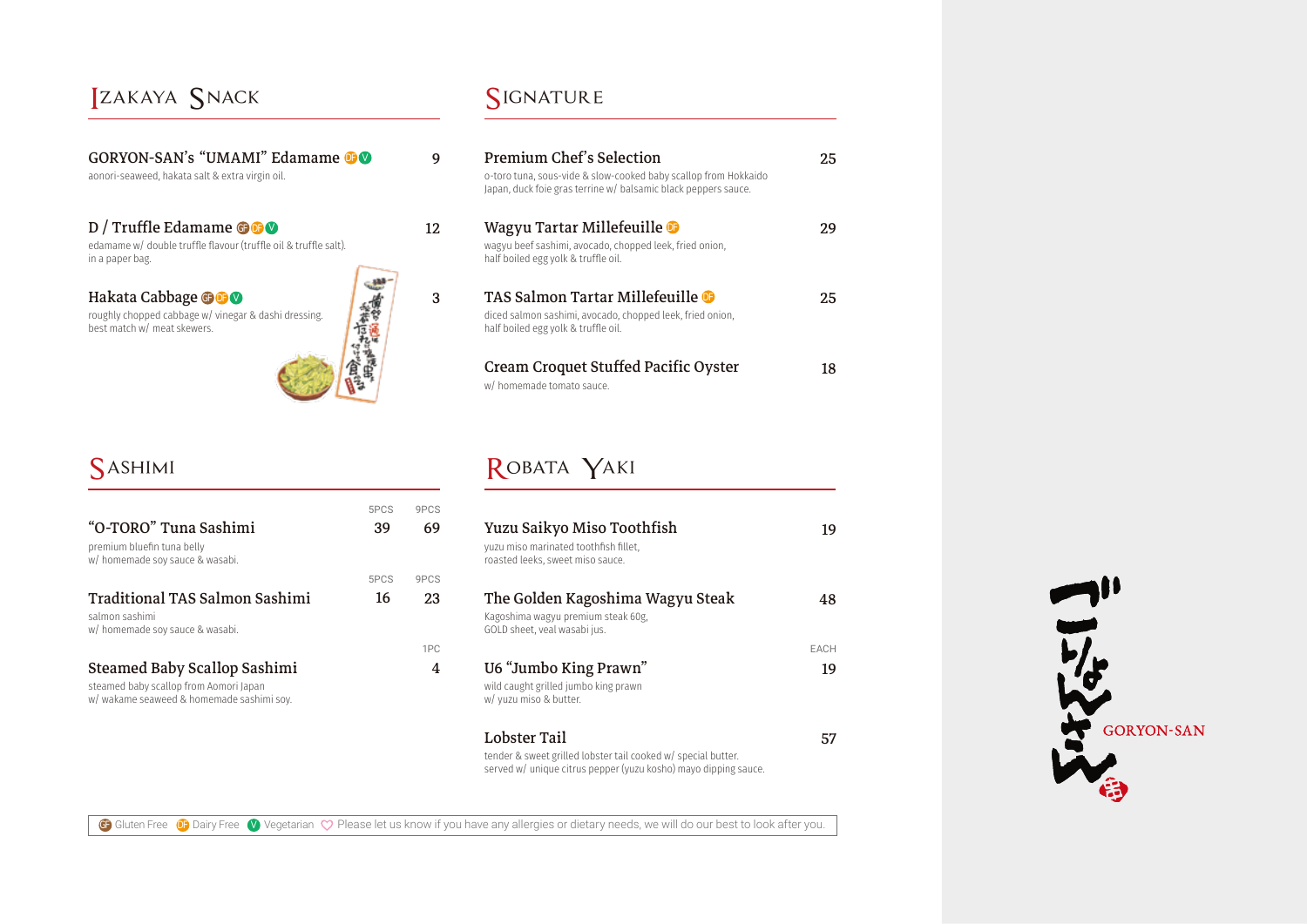### Izakaya Snack

| <b>GORYON-SAN's "UMAMI" Edamame OO</b> |  |
|----------------------------------------|--|
|----------------------------------------|--|

aonori-seaweed, hakata salt & extra virgin oil.

### D / Truffle Edamame **GF DF V**

edamame w/ double truffle flavour (truffle oil & truffle salt). in a paper bag.

#### Hakata Cabbage **GF DF V**

**SASHIMI** 

"O-TORO" Tuna Sashimi

w/ homemade soy sauce & wasabi.

w/ homemade soy sauce & wasabi.

premium bluefin tuna belly

salmon sashimi

Traditional TAS Salmon Sashimi

Steamed Baby Scallop Sashimi

w/ wakame seaweed & homemade sashimi soy.

steamed baby scallop from Aomori Japan

roughly chopped cabbage w/ vinegar & dashi dressing. best match w/ meat skewers.



### SIGNATURE

9

12

3

69

9PCS

39

5PCS

16

5PCS

23

9PCS

4

1PC

| <b>Premium Chef's Selection</b><br>o-toro tuna, sous-vide & slow-cooked baby scallop from Hokkaido<br>Japan, duck foie gras terrine w/ balsamic black peppers sauce. | 25. |
|----------------------------------------------------------------------------------------------------------------------------------------------------------------------|-----|
| Wagyu Tartar Millefeuille<br>wagyu beef sashimi, avocado, chopped leek, fried onion,<br>half boiled egg yolk & truffle oil.                                          | 29  |
| <b>TAS Salmon Tartar Millefeuille</b><br>diced salmon sashimi, avocado, chopped leek, fried onion,<br>half boiled egg yolk & truffle oil.                            | 25  |
| Cream Croquet Stuffed Pacific Oyster<br>w/ homemade tomato sauce.                                                                                                    | 18  |

# ROBATA YAKI

| Yuzu Saikyo Miso Toothfish<br>yuzu miso marinated toothfish fillet.<br>roasted leeks, sweet miso sauce. | 19          |
|---------------------------------------------------------------------------------------------------------|-------------|
| The Golden Kagoshima Wagyu Steak<br>Kagoshima wagyu premium steak 60g.<br>GOLD sheet, veal wasabi jus.  | 48          |
|                                                                                                         | <b>FACH</b> |
| U6 "Jumbo King Prawn"<br>wild caught grilled jumbo king prawn<br>w/ yuzu miso & butter.                 | 19          |
| Lobster Tail                                                                                            |             |

tender & sweet grilled lobster tail cooked w/ special butter. served w/ unique citrus pepper (yuzu kosho) mayo dipping sauce.

#### GF Gluten Free **OF** Dairy Free **C** Vegetarian  $\heartsuit$  Please let us know if you have any allergies or dietary needs, we will do our best to look after you.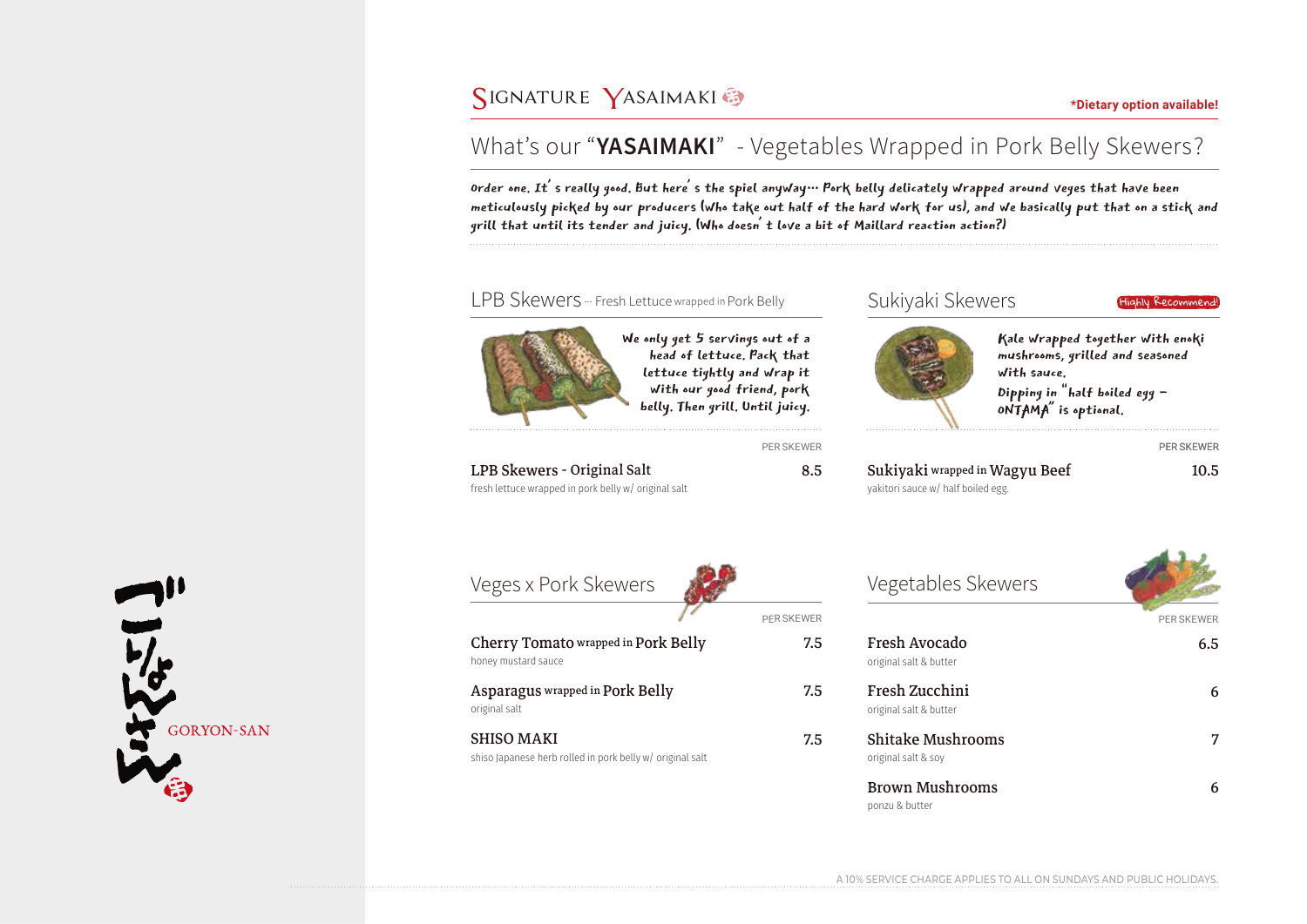## **SIGNATURE** YASAIMAKI **\*Digital available!**

# What's our "**YASAIMAKI**" - Vegetables Wrapped in Pork Belly Skewers?

Order one. It's really good. But here's the spiel anyway… Pork belly delicately wrapped around veges that have been meticulously picked by our producers (who take out half of the hard work for us), and we basically put that on a stick and grill that until its tender and juicy. (Who doesn't love a bit of Maillard reaction action?)



A 10% SERVICE CHARGE APPLIES TO ALL ON SUNDAYS AND PUBLIC HOLIDAYS.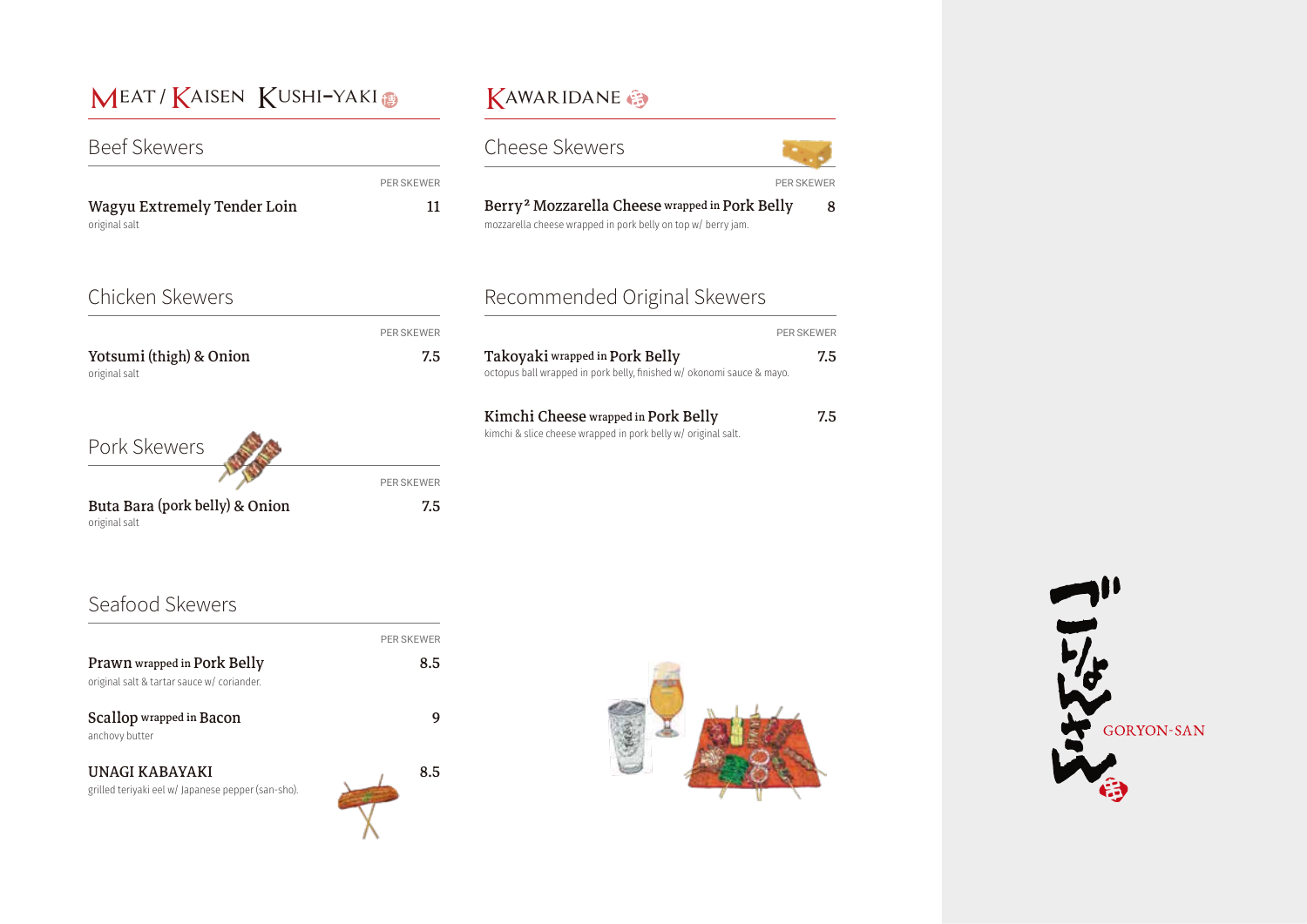# MEAT / KAISEN KUSHI-YAKI

### **Beef Skewers**

Wagyu Extremely Tender Loin 11 original salt

### Chicken Skewers

Yotsumi (thigh) & Onion 7.5 original salt

PER SKEWER

PER SKEWER

Pork Skewers

Buta Bara (pork belly) & Onion 7.5 original salt

PER SKEWER

### KAWARIDANE



### Recommended Original Skewers

|                                                                       | <b>PER SKEWER</b> |
|-----------------------------------------------------------------------|-------------------|
| Takoyaki wrapped in Pork Belly                                        | 7.5               |
| octopus ball wrapped in pork belly, finished w/ okonomi sauce & mayo. |                   |

#### Kimchi Cheese wrapped in Pork Belly 7.5

kimchi & slice cheese wrapped in pork belly w/ original salt.

### Seafood Skewers

|                                                                           | <b>PER SKEWER</b> |
|---------------------------------------------------------------------------|-------------------|
| Prawn wrapped in Pork Belly<br>original salt & tartar sauce w/ coriander. | 8.5               |
| <b>Scallop</b> wrapped in <b>Bacon</b><br>anchovy butter                  |                   |
| UNAGI KABAYAKI<br>grilled teriyaki eel w/ Japanese pepper (san-sho).      | 8.5               |